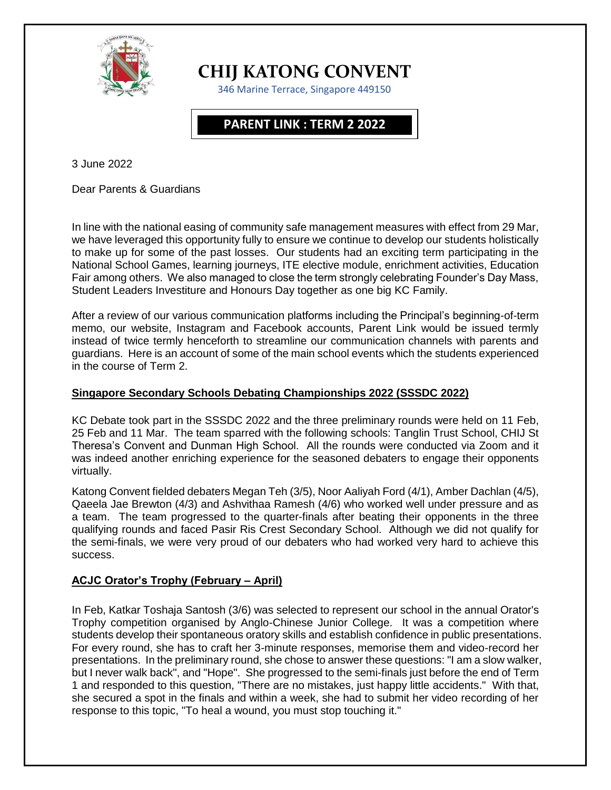

# **CHIJ KATONG CONVENT**

346 Marine Terrace, Singapore 449150

## **PARENT LINK : TERM 2 2022**

3 June 2022

Dear Parents & Guardians

In line with the national easing of community safe management measures with effect from 29 Mar, we have leveraged this opportunity fully to ensure we continue to develop our students holistically to make up for some of the past losses. Our students had an exciting term participating in the National School Games, learning journeys, ITE elective module, enrichment activities, Education Fair among others. We also managed to close the term strongly celebrating Founder's Day Mass, Student Leaders Investiture and Honours Day together as one big KC Family.

After a review of our various communication platforms including the Principal's beginning-of-term memo, our website, Instagram and Facebook accounts, Parent Link would be issued termly instead of twice termly henceforth to streamline our communication channels with parents and guardians. Here is an account of some of the main school events which the students experienced in the course of Term 2.

## **Singapore Secondary Schools Debating Championships 2022 (SSSDC 2022)**

KC Debate took part in the SSSDC 2022 and the three preliminary rounds were held on 11 Feb, 25 Feb and 11 Mar. The team sparred with the following schools: Tanglin Trust School, CHIJ St Theresa's Convent and Dunman High School. All the rounds were conducted via Zoom and it was indeed another enriching experience for the seasoned debaters to engage their opponents virtually.

Katong Convent fielded debaters Megan Teh (3/5), Noor Aaliyah Ford (4/1), Amber Dachlan (4/5), Qaeela Jae Brewton (4/3) and Ashvithaa Ramesh (4/6) who worked well under pressure and as a team. The team progressed to the quarter-finals after beating their opponents in the three qualifying rounds and faced Pasir Ris Crest Secondary School. Although we did not qualify for the semi-finals, we were very proud of our debaters who had worked very hard to achieve this success.

## **ACJC Orator's Trophy (February – April)**

In Feb, Katkar Toshaja Santosh (3/6) was selected to represent our school in the annual Orator's Trophy competition organised by Anglo-Chinese Junior College. It was a competition where students develop their spontaneous oratory skills and establish confidence in public presentations. For every round, she has to craft her 3-minute responses, memorise them and video-record her presentations. In the preliminary round, she chose to answer these questions: "I am a slow walker, but I never walk back", and "Hope". She progressed to the semi-finals just before the end of Term 1 and responded to this question, "There are no mistakes, just happy little accidents." With that, she secured a spot in the finals and within a week, she had to submit her video recording of her response to this topic, "To heal a wound, you must stop touching it."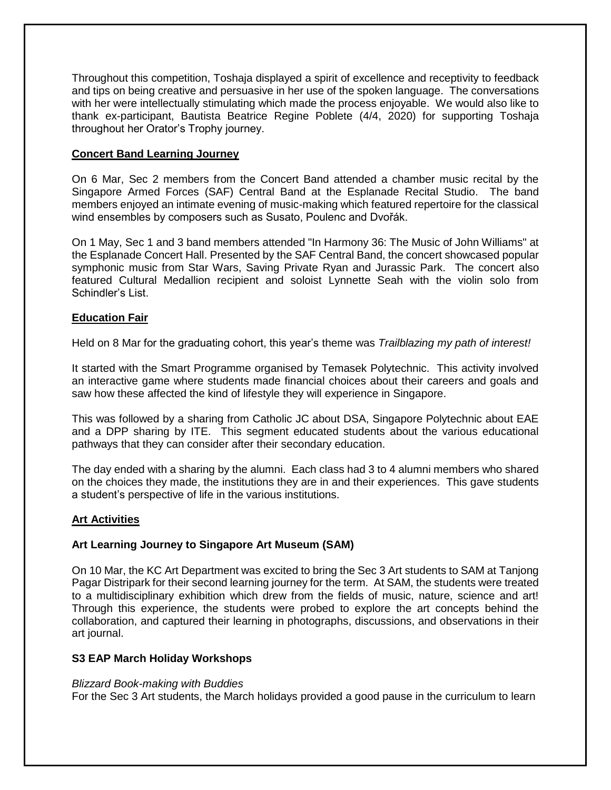Throughout this competition, Toshaja displayed a spirit of excellence and receptivity to feedback and tips on being creative and persuasive in her use of the spoken language. The conversations with her were intellectually stimulating which made the process enjoyable. We would also like to thank ex-participant, Bautista Beatrice Regine Poblete (4/4, 2020) for supporting Toshaja throughout her Orator's Trophy journey.

## **Concert Band Learning Journey**

On 6 Mar, Sec 2 members from the Concert Band attended a chamber music recital by the Singapore Armed Forces (SAF) Central Band at the Esplanade Recital Studio. The band members enjoyed an intimate evening of music-making which featured repertoire for the classical wind ensembles by composers such as Susato, Poulenc and Dvořák.

On 1 May, Sec 1 and 3 band members attended "In Harmony 36: The Music of John Williams" at the Esplanade Concert Hall. Presented by the SAF Central Band, the concert showcased popular symphonic music from Star Wars, Saving Private Ryan and Jurassic Park. The concert also featured Cultural Medallion recipient and soloist Lynnette Seah with the violin solo from Schindler's List.

## **Education Fair**

Held on 8 Mar for the graduating cohort, this year's theme was *Trailblazing my path of interest!*

It started with the Smart Programme organised by Temasek Polytechnic. This activity involved an interactive game where students made financial choices about their careers and goals and saw how these affected the kind of lifestyle they will experience in Singapore.

This was followed by a sharing from Catholic JC about DSA, Singapore Polytechnic about EAE and a DPP sharing by ITE. This segment educated students about the various educational pathways that they can consider after their secondary education.

The day ended with a sharing by the alumni. Each class had 3 to 4 alumni members who shared on the choices they made, the institutions they are in and their experiences. This gave students a student's perspective of life in the various institutions.

## **Art Activities**

## **Art Learning Journey to Singapore Art Museum (SAM)**

On 10 Mar, the KC Art Department was excited to bring the Sec 3 Art students to SAM at Tanjong Pagar Distripark for their second learning journey for the term. At SAM, the students were treated to a multidisciplinary exhibition which drew from the fields of music, nature, science and art! Through this experience, the students were probed to explore the art concepts behind the collaboration, and captured their learning in photographs, discussions, and observations in their art journal.

## **S3 EAP March Holiday Workshops**

## *Blizzard Book-making with Buddies*

For the Sec 3 Art students, the March holidays provided a good pause in the curriculum to learn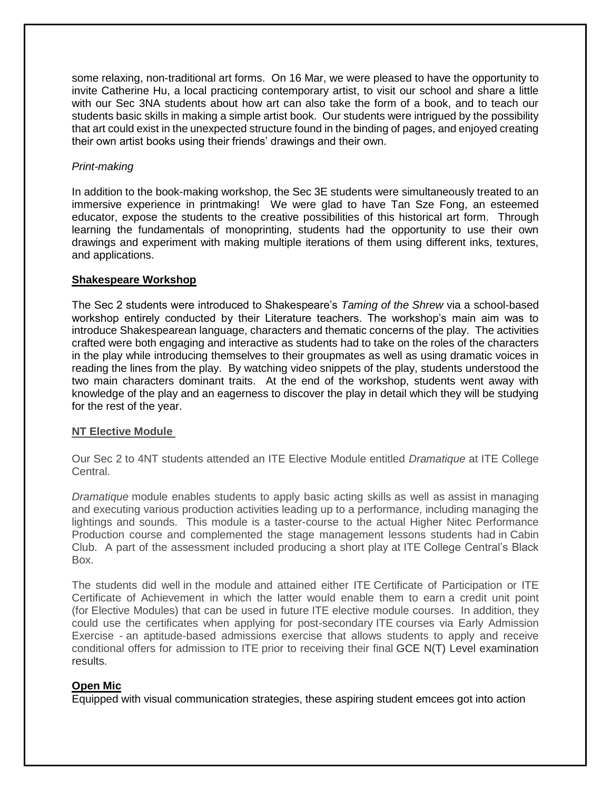some relaxing, non-traditional art forms. On 16 Mar, we were pleased to have the opportunity to invite Catherine Hu, a local practicing contemporary artist, to visit our school and share a little with our Sec 3NA students about how art can also take the form of a book, and to teach our students basic skills in making a simple artist book. Our students were intrigued by the possibility that art could exist in the unexpected structure found in the binding of pages, and enjoyed creating their own artist books using their friends' drawings and their own.

## *Print-making*

In addition to the book-making workshop, the Sec 3E students were simultaneously treated to an immersive experience in printmaking! We were glad to have Tan Sze Fong, an esteemed educator, expose the students to the creative possibilities of this historical art form. Through learning the fundamentals of monoprinting, students had the opportunity to use their own drawings and experiment with making multiple iterations of them using different inks, textures, and applications.

#### **Shakespeare Workshop**

The Sec 2 students were introduced to Shakespeare's *Taming of the Shrew* via a school-based workshop entirely conducted by their Literature teachers. The workshop's main aim was to introduce Shakespearean language, characters and thematic concerns of the play. The activities crafted were both engaging and interactive as students had to take on the roles of the characters in the play while introducing themselves to their groupmates as well as using dramatic voices in reading the lines from the play. By watching video snippets of the play, students understood the two main characters dominant traits. At the end of the workshop, students went away with knowledge of the play and an eagerness to discover the play in detail which they will be studying for the rest of the year.

## **NT Elective Module**

Our Sec 2 to 4NT students attended an ITE Elective Module entitled *Dramatique* at ITE College Central.

*Dramatique* module enables students to apply basic acting skills as well as assist in managing and executing various production activities leading up to a performance, including managing the lightings and sounds. This module is a taster-course to the actual Higher Nitec Performance Production course and complemented the stage management lessons students had in Cabin Club. A part of the assessment included producing a short play at ITE College Central's Black Box.

The students did well in the module and attained either ITE Certificate of Participation or ITE Certificate of Achievement in which the latter would enable them to earn a credit unit point (for Elective Modules) that can be used in future ITE elective module courses. In addition, they could use the certificates when applying for post-secondary ITE courses via Early Admission Exercise - an aptitude-based admissions exercise that allows students to apply and receive conditional offers for admission to ITE prior to receiving their final GCE N(T) Level examination results.

## **Open Mic**

Equipped with visual communication strategies, these aspiring student emcees got into action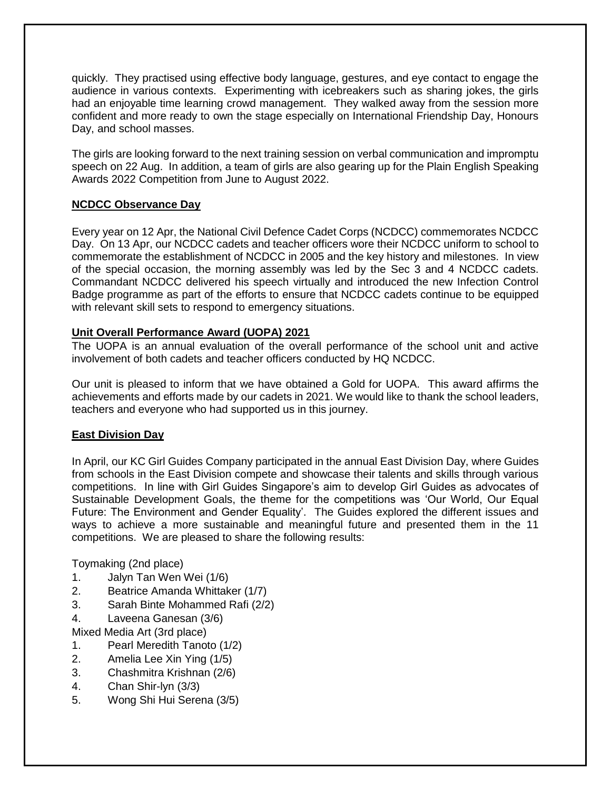quickly. They practised using effective body language, gestures, and eye contact to engage the audience in various contexts. Experimenting with icebreakers such as sharing jokes, the girls had an enjoyable time learning crowd management. They walked away from the session more confident and more ready to own the stage especially on International Friendship Day, Honours Day, and school masses.

The girls are looking forward to the next training session on verbal communication and impromptu speech on 22 Aug. In addition, a team of girls are also gearing up for the Plain English Speaking Awards 2022 Competition from June to August 2022.

## **NCDCC Observance Day**

Every year on 12 Apr, the National Civil Defence Cadet Corps (NCDCC) commemorates NCDCC Day. On 13 Apr, our NCDCC cadets and teacher officers wore their NCDCC uniform to school to commemorate the establishment of NCDCC in 2005 and the key history and milestones. In view of the special occasion, the morning assembly was led by the Sec 3 and 4 NCDCC cadets. Commandant NCDCC delivered his speech virtually and introduced the new Infection Control Badge programme as part of the efforts to ensure that NCDCC cadets continue to be equipped with relevant skill sets to respond to emergency situations.

## **Unit Overall Performance Award (UOPA) 2021**

The UOPA is an annual evaluation of the overall performance of the school unit and active involvement of both cadets and teacher officers conducted by HQ NCDCC.

Our unit is pleased to inform that we have obtained a Gold for UOPA. This award affirms the achievements and efforts made by our cadets in 2021. We would like to thank the school leaders, teachers and everyone who had supported us in this journey.

## **East Division Day**

In April, our KC Girl Guides Company participated in the annual East Division Day, where Guides from schools in the East Division compete and showcase their talents and skills through various competitions. In line with Girl Guides Singapore's aim to develop Girl Guides as advocates of Sustainable Development Goals, the theme for the competitions was 'Our World, Our Equal Future: The Environment and Gender Equality'. The Guides explored the different issues and ways to achieve a more sustainable and meaningful future and presented them in the 11 competitions. We are pleased to share the following results:

Toymaking (2nd place)

- 1. Jalyn Tan Wen Wei (1/6)
- 2. Beatrice Amanda Whittaker (1/7)
- 3. Sarah Binte Mohammed Rafi (2/2)
- 4. Laveena Ganesan (3/6)

Mixed Media Art (3rd place)

- 1. Pearl Meredith Tanoto (1/2)
- 2. Amelia Lee Xin Ying (1/5)
- 3. Chashmitra Krishnan (2/6)
- 4. Chan Shir-lyn (3/3)
- 5. Wong Shi Hui Serena (3/5)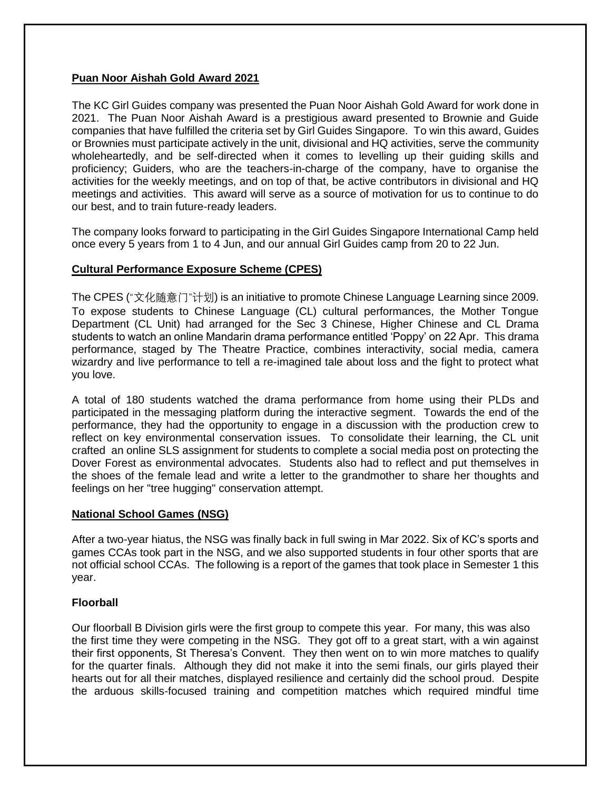## **Puan Noor Aishah Gold Award 2021**

The KC Girl Guides company was presented the Puan Noor Aishah Gold Award for work done in 2021. The Puan Noor Aishah Award is a prestigious award presented to Brownie and Guide companies that have fulfilled the criteria set by Girl Guides Singapore. To win this award, Guides or Brownies must participate actively in the unit, divisional and HQ activities, serve the community wholeheartedly, and be self-directed when it comes to levelling up their guiding skills and proficiency; Guiders, who are the teachers-in-charge of the company, have to organise the activities for the weekly meetings, and on top of that, be active contributors in divisional and HQ meetings and activities. This award will serve as a source of motivation for us to continue to do our best, and to train future-ready leaders.

The company looks forward to participating in the Girl Guides Singapore International Camp held once every 5 years from 1 to 4 Jun, and our annual Girl Guides camp from 20 to 22 Jun.

## **Cultural Performance Exposure Scheme (CPES)**

The CPES ("文化随意门"计划) is an initiative to promote Chinese Language Learning since 2009. To expose students to Chinese Language (CL) cultural performances, the Mother Tongue Department (CL Unit) had arranged for the Sec 3 Chinese, Higher Chinese and CL Drama students to watch an online Mandarin drama performance entitled 'Poppy' on 22 Apr. This drama performance, staged by The Theatre Practice, combines interactivity, social media, camera wizardry and live performance to tell a re-imagined tale about loss and the fight to protect what you love.

A total of 180 students watched the drama performance from home using their PLDs and participated in the messaging platform during the interactive segment. Towards the end of the performance, they had the opportunity to engage in a discussion with the production crew to reflect on key environmental conservation issues. To consolidate their learning, the CL unit crafted an online SLS assignment for students to complete a social media post on protecting the Dover Forest as environmental advocates. Students also had to reflect and put themselves in the shoes of the female lead and write a letter to the grandmother to share her thoughts and feelings on her "tree hugging" conservation attempt.

#### **National School Games (NSG)**

After a two-year hiatus, the NSG was finally back in full swing in Mar 2022. Six of KC's sports and games CCAs took part in the NSG, and we also supported students in four other sports that are not official school CCAs. The following is a report of the games that took place in Semester 1 this year.

#### **Floorball**

Our floorball B Division girls were the first group to compete this year. For many, this was also the first time they were competing in the NSG. They got off to a great start, with a win against their first opponents, St Theresa's Convent. They then went on to win more matches to qualify for the quarter finals. Although they did not make it into the semi finals, our girls played their hearts out for all their matches, displayed resilience and certainly did the school proud. Despite the arduous skills-focused training and competition matches which required mindful time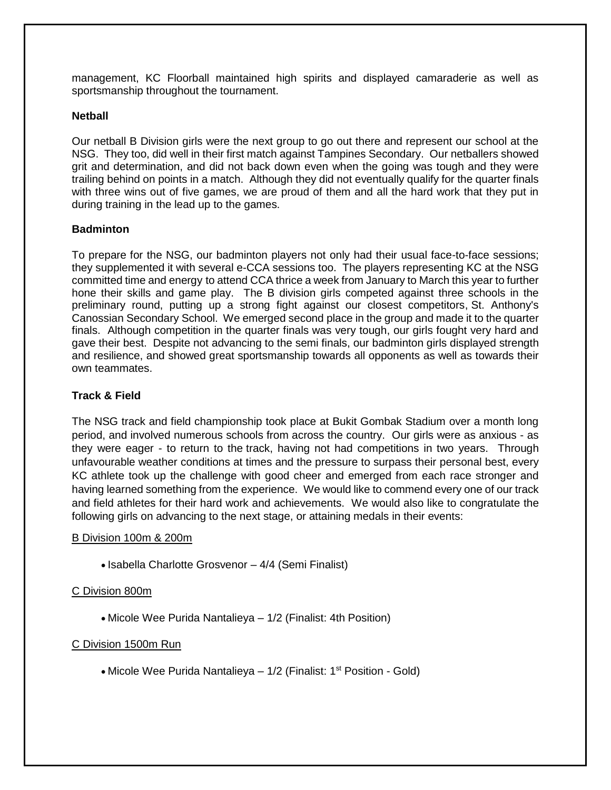management, KC Floorball maintained high spirits and displayed camaraderie as well as sportsmanship throughout the tournament.

## **Netball**

Our netball B Division girls were the next group to go out there and represent our school at the NSG. They too, did well in their first match against Tampines Secondary. Our netballers showed grit and determination, and did not back down even when the going was tough and they were trailing behind on points in a match. Although they did not eventually qualify for the quarter finals with three wins out of five games, we are proud of them and all the hard work that they put in during training in the lead up to the games.

## **Badminton**

To prepare for the NSG, our badminton players not only had their usual face-to-face sessions; they supplemented it with several e-CCA sessions too. The players representing KC at the NSG committed time and energy to attend CCA thrice a week from January to March this year to further hone their skills and game play. The B division girls competed against three schools in the preliminary round, putting up a strong fight against our closest competitors, St. Anthony's Canossian Secondary School. We emerged second place in the group and made it to the quarter finals. Although competition in the quarter finals was very tough, our girls fought very hard and gave their best. Despite not advancing to the semi finals, our badminton girls displayed strength and resilience, and showed great sportsmanship towards all opponents as well as towards their own teammates.

## **Track & Field**

The NSG track and field championship took place at Bukit Gombak Stadium over a month long period, and involved numerous schools from across the country. Our girls were as anxious - as they were eager - to return to the track, having not had competitions in two years. Through unfavourable weather conditions at times and the pressure to surpass their personal best, every KC athlete took up the challenge with good cheer and emerged from each race stronger and having learned something from the experience. We would like to commend every one of our track and field athletes for their hard work and achievements. We would also like to congratulate the following girls on advancing to the next stage, or attaining medals in their events:

#### B Division 100m & 200m

• Isabella Charlotte Grosvenor - 4/4 (Semi Finalist)

## C Division 800m

Micole Wee Purida Nantalieya – 1/2 (Finalist: 4th Position)

#### C Division 1500m Run

• Micole Wee Purida Nantalieya –  $1/2$  (Finalist:  $1<sup>st</sup>$  Position - Gold)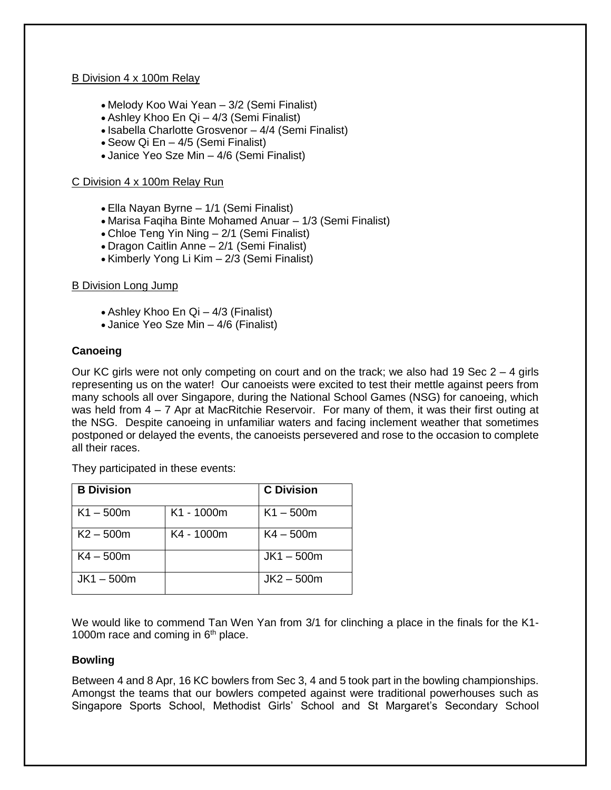#### B Division 4 x 100m Relay

- Melody Koo Wai Yean 3/2 (Semi Finalist)
- Ashley Khoo En Qi 4/3 (Semi Finalist)
- Isabella Charlotte Grosvenor 4/4 (Semi Finalist)
- Seow Qi En 4/5 (Semi Finalist)
- Janice Yeo Sze Min 4/6 (Semi Finalist)

#### C Division 4 x 100m Relay Run

- Ella Nayan Byrne 1/1 (Semi Finalist)
- Marisa Faqiha Binte Mohamed Anuar 1/3 (Semi Finalist)
- Chloe Teng Yin Ning 2/1 (Semi Finalist)
- Dragon Caitlin Anne 2/1 (Semi Finalist)
- Kimberly Yong Li Kim 2/3 (Semi Finalist)

#### B Division Long Jump

- Ashley Khoo En Qi 4/3 (Finalist)
- Janice Yeo Sze Min 4/6 (Finalist)

#### **Canoeing**

Our KC girls were not only competing on court and on the track; we also had 19 Sec  $2 - 4$  girls representing us on the water! Our canoeists were excited to test their mettle against peers from many schools all over Singapore, during the National School Games (NSG) for canoeing, which was held from  $4 - 7$  Apr at MacRitchie Reservoir. For many of them, it was their first outing at the NSG. Despite canoeing in unfamiliar waters and facing inclement weather that sometimes postponed or delayed the events, the canoeists persevered and rose to the occasion to complete all their races.

They participated in these events:

| <b>B</b> Division |              | <b>C</b> Division |
|-------------------|--------------|-------------------|
| $K1 - 500m$       | $K1 - 1000m$ | $K1 - 500m$       |
| $K2 - 500m$       | K4 - 1000m   | $K4 - 500m$       |
| $K4 - 500m$       |              | $JK1 - 500m$      |
| $JK1 - 500m$      |              | $JK2-500m$        |

We would like to commend Tan Wen Yan from 3/1 for clinching a place in the finals for the K1-1000m race and coming in  $6<sup>th</sup>$  place.

#### **Bowling**

Between 4 and 8 Apr, 16 KC bowlers from Sec 3, 4 and 5 took part in the bowling championships. Amongst the teams that our bowlers competed against were traditional powerhouses such as Singapore Sports School, Methodist Girls' School and St Margaret's Secondary School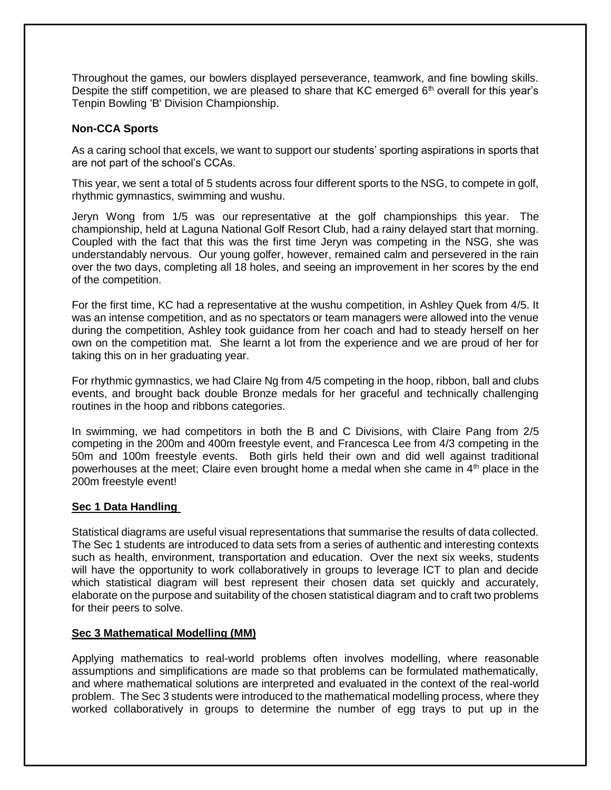Throughout the games, our bowlers displayed perseverance, teamwork, and fine bowling skills. Despite the stiff competition, we are pleased to share that KC emerged  $6<sup>th</sup>$  overall for this year's Tenpin Bowling 'B' Division Championship.

#### **Non-CCA Sports**

As a caring school that excels, we want to support our students' sporting aspirations in sports that are not part of the school's CCAs.

This year, we sent a total of 5 students across four different sports to the NSG, to compete in golf, rhythmic gymnastics, swimming and wushu.

Jeryn Wong from 1/5 was our representative at the golf championships this year. The championship, held at Laguna National Golf Resort Club, had a rainy delayed start that morning. Coupled with the fact that this was the first time Jeryn was competing in the NSG, she was understandably nervous. Our young golfer, however, remained calm and persevered in the rain over the two days, completing all 18 holes, and seeing an improvement in her scores by the end of the competition.

For the first time, KC had a representative at the wushu competition, in Ashley Quek from 4/5. It was an intense competition, and as no spectators or team managers were allowed into the venue during the competition, Ashley took guidance from her coach and had to steady herself on her own on the competition mat. She learnt a lot from the experience and we are proud of her for taking this on in her graduating year.

For rhythmic gymnastics, we had Claire Ng from 4/5 competing in the hoop, ribbon, ball and clubs events, and brought back double Bronze medals for her graceful and technically challenging routines in the hoop and ribbons categories.

In swimming, we had competitors in both the B and C Divisions, with Claire Pang from 2/5 competing in the 200m and 400m freestyle event, and Francesca Lee from 4/3 competing in the 50m and 100m freestyle events. Both girls held their own and did well against traditional powerhouses at the meet; Claire even brought home a medal when she came in 4th place in the 200m freestyle event!

#### **Sec 1 Data Handling**

Statistical diagrams are useful visual representations that summarise the results of data collected. The Sec 1 students are introduced to data sets from a series of authentic and interesting contexts such as health, environment, transportation and education. Over the next six weeks, students will have the opportunity to work collaboratively in groups to leverage ICT to plan and decide which statistical diagram will best represent their chosen data set quickly and accurately, elaborate on the purpose and suitability of the chosen statistical diagram and to craft two problems for their peers to solve.

## **Sec 3 Mathematical Modelling (MM)**

Applying mathematics to real-world problems often involves modelling, where reasonable assumptions and simplifications are made so that problems can be formulated mathematically, and where mathematical solutions are interpreted and evaluated in the context of the real-world problem. The Sec 3 students were introduced to the mathematical modelling process, where they worked collaboratively in groups to determine the number of egg trays to put up in the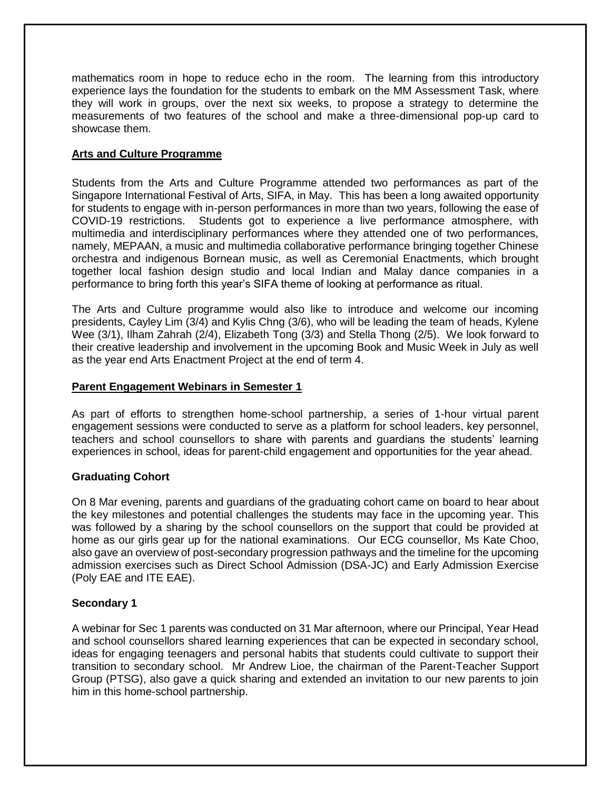mathematics room in hope to reduce echo in the room. The learning from this introductory experience lays the foundation for the students to embark on the MM Assessment Task, where they will work in groups, over the next six weeks, to propose a strategy to determine the measurements of two features of the school and make a three-dimensional pop-up card to showcase them.

## **Arts and Culture Programme**

Students from the Arts and Culture Programme attended two performances as part of the Singapore International Festival of Arts, SIFA, in May. This has been a long awaited opportunity for students to engage with in-person performances in more than two years, following the ease of COVID-19 restrictions. Students got to experience a live performance atmosphere, with multimedia and interdisciplinary performances where they attended one of two performances, namely, MEPAAN, a music and multimedia collaborative performance bringing together Chinese orchestra and indigenous Bornean music, as well as Ceremonial Enactments, which brought together local fashion design studio and local Indian and Malay dance companies in a performance to bring forth this year's SIFA theme of looking at performance as ritual.

The Arts and Culture programme would also like to introduce and welcome our incoming presidents, Cayley Lim (3/4) and Kylis Chng (3/6), who will be leading the team of heads, Kylene Wee (3/1), Ilham Zahrah (2/4), Elizabeth Tong (3/3) and Stella Thong (2/5). We look forward to their creative leadership and involvement in the upcoming Book and Music Week in July as well as the year end Arts Enactment Project at the end of term 4.

## **Parent Engagement Webinars in Semester 1**

As part of efforts to strengthen home-school partnership, a series of 1-hour virtual parent engagement sessions were conducted to serve as a platform for school leaders, key personnel, teachers and school counsellors to share with parents and guardians the students' learning experiences in school, ideas for parent-child engagement and opportunities for the year ahead.

## **Graduating Cohort**

On 8 Mar evening, parents and guardians of the graduating cohort came on board to hear about the key milestones and potential challenges the students may face in the upcoming year. This was followed by a sharing by the school counsellors on the support that could be provided at home as our girls gear up for the national examinations. Our ECG counsellor, Ms Kate Choo, also gave an overview of post-secondary progression pathways and the timeline for the upcoming admission exercises such as Direct School Admission (DSA-JC) and Early Admission Exercise (Poly EAE and ITE EAE).

## **Secondary 1**

A webinar for Sec 1 parents was conducted on 31 Mar afternoon, where our Principal, Year Head and school counsellors shared learning experiences that can be expected in secondary school, ideas for engaging teenagers and personal habits that students could cultivate to support their transition to secondary school. Mr Andrew Lioe, the chairman of the Parent-Teacher Support Group (PTSG), also gave a quick sharing and extended an invitation to our new parents to join him in this home-school partnership.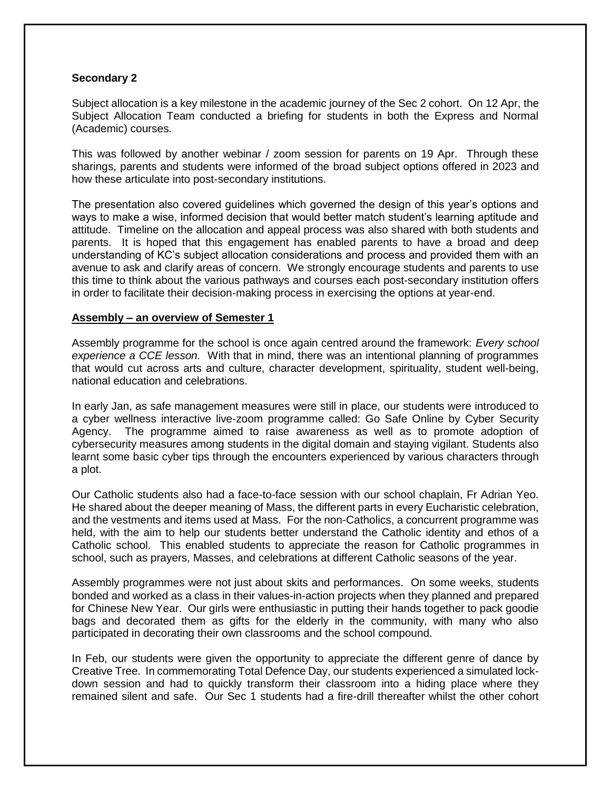#### **Secondary 2**

Subject allocation is a key milestone in the academic journey of the Sec 2 cohort. On 12 Apr, the Subject Allocation Team conducted a briefing for students in both the Express and Normal (Academic) courses.

This was followed by another webinar / zoom session for parents on 19 Apr. Through these sharings, parents and students were informed of the broad subject options offered in 2023 and how these articulate into post-secondary institutions.

The presentation also covered guidelines which governed the design of this year's options and ways to make a wise, informed decision that would better match student's learning aptitude and attitude. Timeline on the allocation and appeal process was also shared with both students and parents. It is hoped that this engagement has enabled parents to have a broad and deep understanding of KC's subject allocation considerations and process and provided them with an avenue to ask and clarify areas of concern. We strongly encourage students and parents to use this time to think about the various pathways and courses each post-secondary institution offers in order to facilitate their decision-making process in exercising the options at year-end.

#### **Assembly – an overview of Semester 1**

Assembly programme for the school is once again centred around the framework: *Every school experience a CCE lesson.* With that in mind, there was an intentional planning of programmes that would cut across arts and culture, character development, spirituality, student well-being, national education and celebrations.

In early Jan, as safe management measures were still in place, our students were introduced to a cyber wellness interactive live-zoom programme called: Go Safe Online by Cyber Security Agency. The programme aimed to raise awareness as well as to promote adoption of cybersecurity measures among students in the digital domain and staying vigilant. Students also learnt some basic cyber tips through the encounters experienced by various characters through a plot.

Our Catholic students also had a face-to-face session with our school chaplain, Fr Adrian Yeo. He shared about the deeper meaning of Mass, the different parts in every Eucharistic celebration, and the vestments and items used at Mass. For the non-Catholics, a concurrent programme was held, with the aim to help our students better understand the Catholic identity and ethos of a Catholic school. This enabled students to appreciate the reason for Catholic programmes in school, such as prayers, Masses, and celebrations at different Catholic seasons of the year.

Assembly programmes were not just about skits and performances. On some weeks, students bonded and worked as a class in their values-in-action projects when they planned and prepared for Chinese New Year. Our girls were enthusiastic in putting their hands together to pack goodie bags and decorated them as gifts for the elderly in the community, with many who also participated in decorating their own classrooms and the school compound.

In Feb, our students were given the opportunity to appreciate the different genre of dance by Creative Tree. In commemorating Total Defence Day, our students experienced a simulated lockdown session and had to quickly transform their classroom into a hiding place where they remained silent and safe. Our Sec 1 students had a fire-drill thereafter whilst the other cohort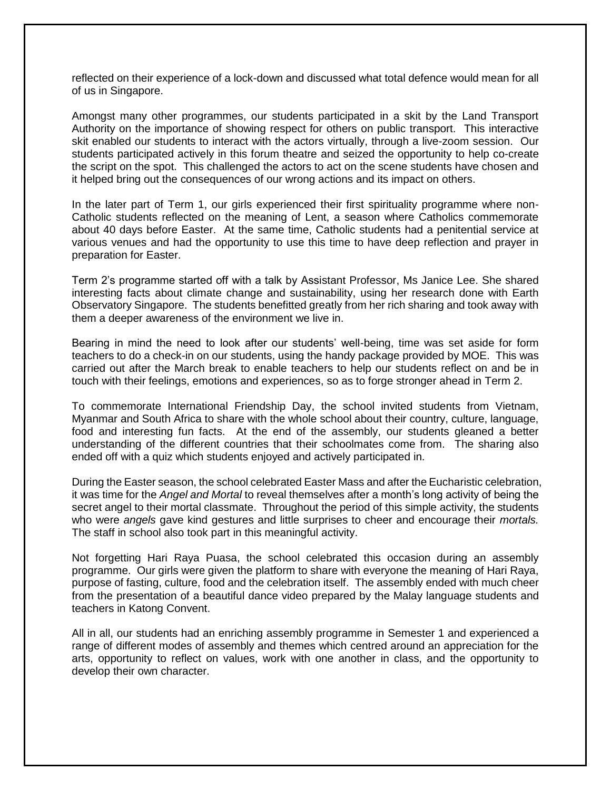reflected on their experience of a lock-down and discussed what total defence would mean for all of us in Singapore.

Amongst many other programmes, our students participated in a skit by the Land Transport Authority on the importance of showing respect for others on public transport. This interactive skit enabled our students to interact with the actors virtually, through a live-zoom session. Our students participated actively in this forum theatre and seized the opportunity to help co-create the script on the spot. This challenged the actors to act on the scene students have chosen and it helped bring out the consequences of our wrong actions and its impact on others.

In the later part of Term 1, our girls experienced their first spirituality programme where non-Catholic students reflected on the meaning of Lent, a season where Catholics commemorate about 40 days before Easter. At the same time, Catholic students had a penitential service at various venues and had the opportunity to use this time to have deep reflection and prayer in preparation for Easter.

Term 2's programme started off with a talk by Assistant Professor, Ms Janice Lee. She shared interesting facts about climate change and sustainability, using her research done with Earth Observatory Singapore. The students benefitted greatly from her rich sharing and took away with them a deeper awareness of the environment we live in.

Bearing in mind the need to look after our students' well-being, time was set aside for form teachers to do a check-in on our students, using the handy package provided by MOE. This was carried out after the March break to enable teachers to help our students reflect on and be in touch with their feelings, emotions and experiences, so as to forge stronger ahead in Term 2.

To commemorate International Friendship Day, the school invited students from Vietnam, Myanmar and South Africa to share with the whole school about their country, culture, language, food and interesting fun facts. At the end of the assembly, our students gleaned a better understanding of the different countries that their schoolmates come from. The sharing also ended off with a quiz which students enjoyed and actively participated in.

During the Easter season, the school celebrated Easter Mass and after the Eucharistic celebration, it was time for the *Angel and Mortal* to reveal themselves after a month's long activity of being the secret angel to their mortal classmate. Throughout the period of this simple activity, the students who were *angels* gave kind gestures and little surprises to cheer and encourage their *mortals.* The staff in school also took part in this meaningful activity.

Not forgetting Hari Raya Puasa, the school celebrated this occasion during an assembly programme. Our girls were given the platform to share with everyone the meaning of Hari Raya, purpose of fasting, culture, food and the celebration itself. The assembly ended with much cheer from the presentation of a beautiful dance video prepared by the Malay language students and teachers in Katong Convent.

All in all, our students had an enriching assembly programme in Semester 1 and experienced a range of different modes of assembly and themes which centred around an appreciation for the arts, opportunity to reflect on values, work with one another in class, and the opportunity to develop their own character.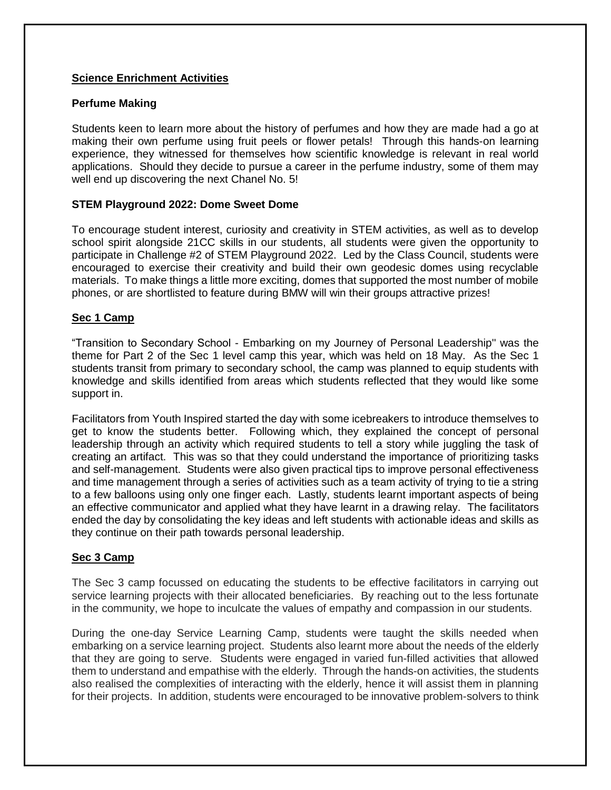## **Science Enrichment Activities**

## **Perfume Making**

Students keen to learn more about the history of perfumes and how they are made had a go at making their own perfume using fruit peels or flower petals! Through this hands-on learning experience, they witnessed for themselves how scientific knowledge is relevant in real world applications. Should they decide to pursue a career in the perfume industry, some of them may well end up discovering the next Chanel No. 5!

#### **STEM Playground 2022: Dome Sweet Dome**

To encourage student interest, curiosity and creativity in STEM activities, as well as to develop school spirit alongside 21CC skills in our students, all students were given the opportunity to participate in Challenge #2 of STEM Playground 2022. Led by the Class Council, students were encouraged to exercise their creativity and build their own geodesic domes using recyclable materials. To make things a little more exciting, domes that supported the most number of mobile phones, or are shortlisted to feature during BMW will win their groups attractive prizes!

#### **Sec 1 Camp**

"Transition to Secondary School - Embarking on my Journey of Personal Leadership'' was the theme for Part 2 of the Sec 1 level camp this year, which was held on 18 May. As the Sec 1 students transit from primary to secondary school, the camp was planned to equip students with knowledge and skills identified from areas which students reflected that they would like some support in.

Facilitators from Youth Inspired started the day with some icebreakers to introduce themselves to get to know the students better. Following which, they explained the concept of personal leadership through an activity which required students to tell a story while juggling the task of creating an artifact. This was so that they could understand the importance of prioritizing tasks and self-management. Students were also given practical tips to improve personal effectiveness and time management through a series of activities such as a team activity of trying to tie a string to a few balloons using only one finger each. Lastly, students learnt important aspects of being an effective communicator and applied what they have learnt in a drawing relay. The facilitators ended the day by consolidating the key ideas and left students with actionable ideas and skills as they continue on their path towards personal leadership.

## **Sec 3 Camp**

The Sec 3 camp focussed on educating the students to be effective facilitators in carrying out service learning projects with their allocated beneficiaries. By reaching out to the less fortunate in the community, we hope to inculcate the values of empathy and compassion in our students.

During the one-day Service Learning Camp, students were taught the skills needed when embarking on a service learning project. Students also learnt more about the needs of the elderly that they are going to serve. Students were engaged in varied fun-filled activities that allowed them to understand and empathise with the elderly. Through the hands-on activities, the students also realised the complexities of interacting with the elderly, hence it will assist them in planning for their projects. In addition, students were encouraged to be innovative problem-solvers to think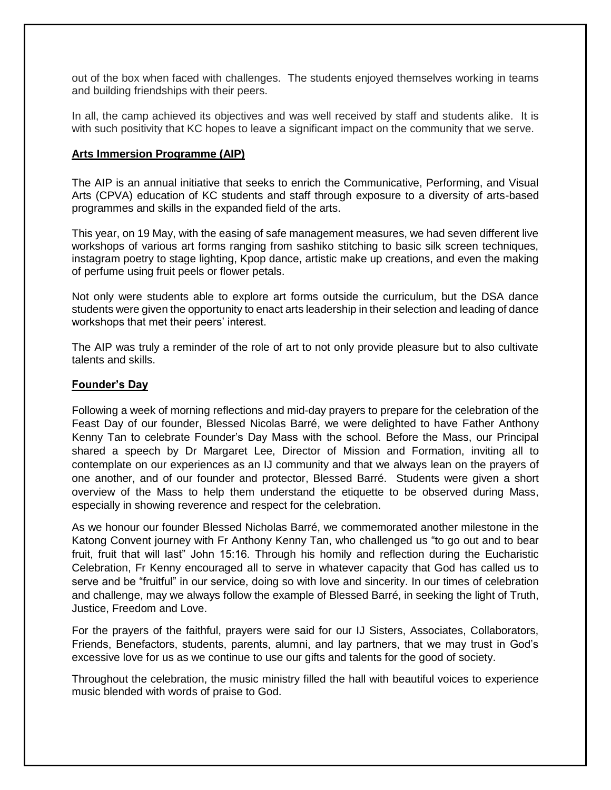out of the box when faced with challenges. The students enjoyed themselves working in teams and building friendships with their peers.

In all, the camp achieved its objectives and was well received by staff and students alike. It is with such positivity that KC hopes to leave a significant impact on the community that we serve.

#### **Arts Immersion Programme (AIP)**

The AIP is an annual initiative that seeks to enrich the Communicative, Performing, and Visual Arts (CPVA) education of KC students and staff through exposure to a diversity of arts-based programmes and skills in the expanded field of the arts.

This year, on 19 May, with the easing of safe management measures, we had seven different live workshops of various art forms ranging from sashiko stitching to basic silk screen techniques, instagram poetry to stage lighting, Kpop dance, artistic make up creations, and even the making of perfume using fruit peels or flower petals.

Not only were students able to explore art forms outside the curriculum, but the DSA dance students were given the opportunity to enact arts leadership in their selection and leading of dance workshops that met their peers' interest.

The AIP was truly a reminder of the role of art to not only provide pleasure but to also cultivate talents and skills.

#### **Founder's Day**

Following a week of morning reflections and mid-day prayers to prepare for the celebration of the Feast Day of our founder, Blessed Nicolas Barré, we were delighted to have Father Anthony Kenny Tan to celebrate Founder's Day Mass with the school. Before the Mass, our Principal shared a speech by Dr Margaret Lee, Director of Mission and Formation, inviting all to contemplate on our experiences as an IJ community and that we always lean on the prayers of one another, and of our founder and protector, Blessed Barré. Students were given a short overview of the Mass to help them understand the etiquette to be observed during Mass, especially in showing reverence and respect for the celebration.

As we honour our founder Blessed Nicholas Barré, we commemorated another milestone in the Katong Convent journey with Fr Anthony Kenny Tan, who challenged us "to go out and to bear fruit, fruit that will last" John 15:16. Through his homily and reflection during the Eucharistic Celebration, Fr Kenny encouraged all to serve in whatever capacity that God has called us to serve and be "fruitful" in our service, doing so with love and sincerity. In our times of celebration and challenge, may we always follow the example of Blessed Barré, in seeking the light of Truth, Justice, Freedom and Love.

For the prayers of the faithful, prayers were said for our IJ Sisters, Associates, Collaborators, Friends, Benefactors, students, parents, alumni, and lay partners, that we may trust in God's excessive love for us as we continue to use our gifts and talents for the good of society.

Throughout the celebration, the music ministry filled the hall with beautiful voices to experience music blended with words of praise to God.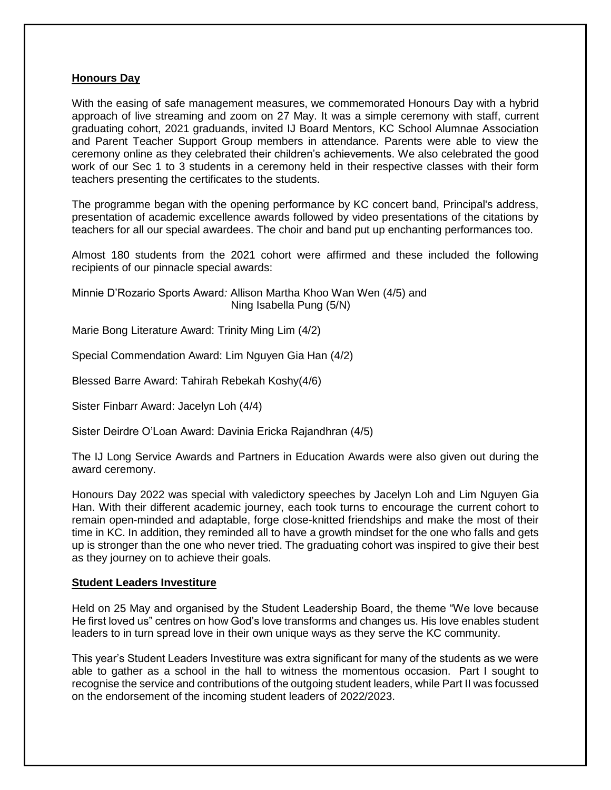#### **Honours Day**

With the easing of safe management measures, we commemorated Honours Day with a hybrid approach of live streaming and zoom on 27 May. It was a simple ceremony with staff, current graduating cohort, 2021 graduands, invited IJ Board Mentors, KC School Alumnae Association and Parent Teacher Support Group members in attendance. Parents were able to view the ceremony online as they celebrated their children's achievements. We also celebrated the good work of our Sec 1 to 3 students in a ceremony held in their respective classes with their form teachers presenting the certificates to the students.

The programme began with the opening performance by KC concert band, Principal's address, presentation of academic excellence awards followed by video presentations of the citations by teachers for all our special awardees. The choir and band put up enchanting performances too.

Almost 180 students from the 2021 cohort were affirmed and these included the following recipients of our pinnacle special awards:

Minnie D'Rozario Sports Award*:* Allison Martha Khoo Wan Wen (4/5) and Ning Isabella Pung (5/N)

Marie Bong Literature Award: Trinity Ming Lim (4/2)

Special Commendation Award: Lim Nguyen Gia Han (4/2)

Blessed Barre Award: Tahirah Rebekah Koshy(4/6)

Sister Finbarr Award: Jacelyn Loh (4/4)

Sister Deirdre O'Loan Award: Davinia Ericka Rajandhran (4/5)

The IJ Long Service Awards and Partners in Education Awards were also given out during the award ceremony.

Honours Day 2022 was special with valedictory speeches by Jacelyn Loh and Lim Nguyen Gia Han. With their different academic journey, each took turns to encourage the current cohort to remain open-minded and adaptable, forge close-knitted friendships and make the most of their time in KC. In addition, they reminded all to have a growth mindset for the one who falls and gets up is stronger than the one who never tried. The graduating cohort was inspired to give their best as they journey on to achieve their goals.

#### **Student Leaders Investiture**

Held on 25 May and organised by the Student Leadership Board, the theme "We love because He first loved us" centres on how God's love transforms and changes us. His love enables student leaders to in turn spread love in their own unique ways as they serve the KC community.

This year's Student Leaders Investiture was extra significant for many of the students as we were able to gather as a school in the hall to witness the momentous occasion. Part I sought to recognise the service and contributions of the outgoing student leaders, while Part II was focussed on the endorsement of the incoming student leaders of 2022/2023.